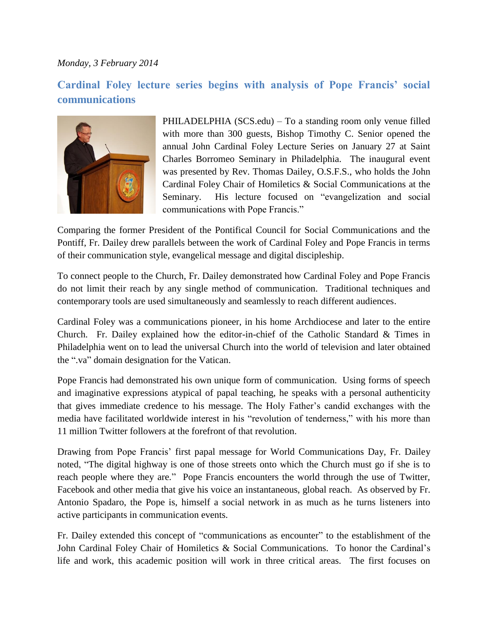## *Monday, 3 February 2014*

## **Cardinal Foley lecture series begins with analysis of Pope Francis' social communications**



PHILADELPHIA (SCS.edu) – To a standing room only venue filled with more than 300 guests, Bishop Timothy C. Senior opened the annual John Cardinal Foley Lecture Series on January 27 at Saint Charles Borromeo Seminary in Philadelphia. The inaugural event was presented by Rev. Thomas Dailey, O.S.F.S., who holds the John Cardinal Foley Chair of Homiletics & Social Communications at the Seminary. His lecture focused on "evangelization and social communications with Pope Francis."

Comparing the former President of the Pontifical Council for Social Communications and the Pontiff, Fr. Dailey drew parallels between the work of Cardinal Foley and Pope Francis in terms of their communication style, evangelical message and digital discipleship.

To connect people to the Church, Fr. Dailey demonstrated how Cardinal Foley and Pope Francis do not limit their reach by any single method of communication. Traditional techniques and contemporary tools are used simultaneously and seamlessly to reach different audiences.

Cardinal Foley was a communications pioneer, in his home Archdiocese and later to the entire Church. Fr. Dailey explained how the editor-in-chief of the Catholic Standard & Times in Philadelphia went on to lead the universal Church into the world of television and later obtained the ".va" domain designation for the Vatican.

Pope Francis had demonstrated his own unique form of communication. Using forms of speech and imaginative expressions atypical of papal teaching, he speaks with a personal authenticity that gives immediate credence to his message. The Holy Father's candid exchanges with the media have facilitated worldwide interest in his "revolution of tenderness," with his more than 11 million Twitter followers at the forefront of that revolution.

Drawing from Pope Francis' first papal message for World Communications Day, Fr. Dailey noted, "The digital highway is one of those streets onto which the Church must go if she is to reach people where they are." Pope Francis encounters the world through the use of Twitter, Facebook and other media that give his voice an instantaneous, global reach. As observed by Fr. Antonio Spadaro, the Pope is, himself a social network in as much as he turns listeners into active participants in communication events.

Fr. Dailey extended this concept of "communications as encounter" to the establishment of the John Cardinal Foley Chair of Homiletics & Social Communications. To honor the Cardinal's life and work, this academic position will work in three critical areas. The first focuses on